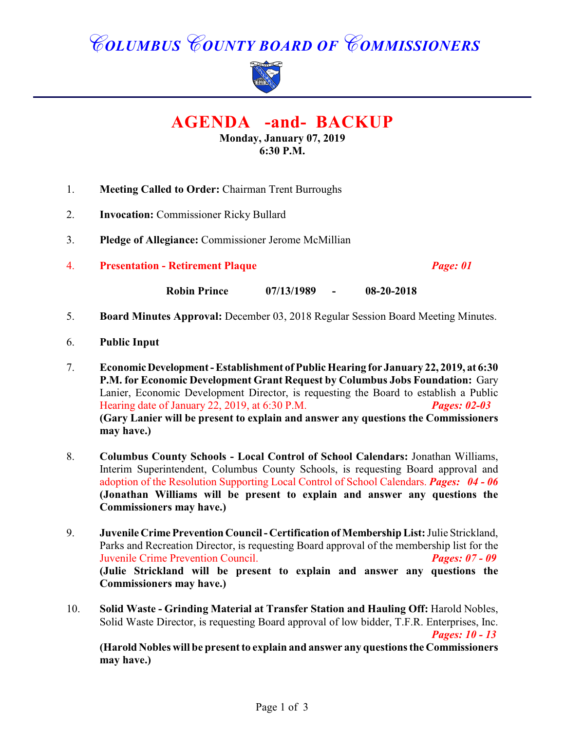## *COLUMBUS COUNTY BOARD OF COMMISSIONERS*



**AGENDA -and- BACKUP**

**Monday, January 07, 2019 6:30 P.M.**

- 1. **Meeting Called to Order:** Chairman Trent Burroughs
- 2. **Invocation:** Commissioner Ricky Bullard
- 3. **Pledge of Allegiance:** Commissioner Jerome McMillian
- 4. **Presentation Retirement Plaque** *Page: 01*

**Robin Prince 07/13/1989 - 08-20-2018**

- 5. **Board Minutes Approval:** December 03, 2018 Regular Session Board Meeting Minutes.
- 6. **Public Input**
- 7. **Economic Development Establishment of Public Hearing for January 22, 2019, at 6:30 P.M. for Economic Development Grant Request by Columbus Jobs Foundation:** Gary Lanier, Economic Development Director, is requesting the Board to establish a Public Hearing date of January 22, 2019, at 6:30 P.M. *Pages: 02-03* **(Gary Lanier will be present to explain and answer any questions the Commissioners may have.)**
- 8. **Columbus County Schools Local Control of School Calendars:** Jonathan Williams, Interim Superintendent, Columbus County Schools, is requesting Board approval and adoption of the Resolution Supporting Local Control of School Calendars. *Pages: 04 - 06* **(Jonathan Williams will be present to explain and answer any questions the Commissioners may have.)**
- 9. **Juvenile Crime Prevention Council Certification of Membership List:** Julie Strickland, Parks and Recreation Director, is requesting Board approval of the membership list for the Juvenile Crime Prevention Council. *Pages: 07 - 09* **(Julie Strickland will be present to explain and answer any questions the Commissioners may have.)**
- 10. **Solid Waste Grinding Material at Transfer Station and Hauling Off:** Harold Nobles, Solid Waste Director, is requesting Board approval of low bidder, T.F.R. Enterprises, Inc. *Pages: 10 - 13*

**(Harold Nobles will be present to explain and answer any questions the Commissioners may have.)**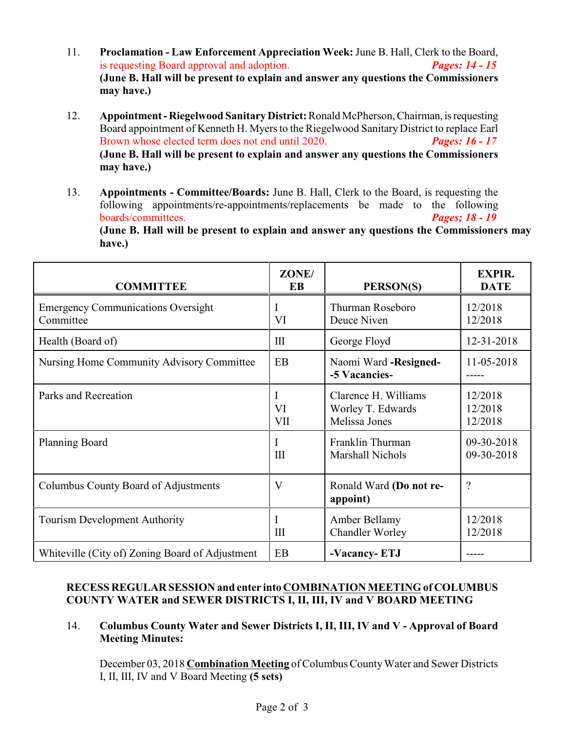- 11. **Proclamation Law Enforcement Appreciation Week:** June B. Hall, Clerk to the Board, is requesting Board approval and adoption. *Pages: 14 - 15* **(June B. Hall will be present to explain and answer any questions the Commissioners may have.)**
- 12. **Appointment Riegelwood Sanitary District:** Ronald McPherson, Chairman, is requesting Board appointment of Kenneth H. Myers to the Riegelwood Sanitary District to replace Earl Brown whose elected term does not end until 2020. *Pages: 16 - 17* **(June B. Hall will be present to explain and answer any questions the Commissioners may have.)**
- 13. **Appointments Committee/Boards:** June B. Hall, Clerk to the Board, is requesting the following appointments/re-appointments/replacements be made to the following boards/committees. *Pages; 18 - 19* **(June B. Hall will be present to explain and answer any questions the Commissioners may have.)**

| <b>COMMITTEE</b>                                       | ZONE/<br>EB             | PERSON(S)                                                  | <b>EXPIR.</b><br><b>DATE</b>  |
|--------------------------------------------------------|-------------------------|------------------------------------------------------------|-------------------------------|
| <b>Emergency Communications Oversight</b><br>Committee | Ι<br>VI                 | Thurman Roseboro<br>Deuce Niven                            | 12/2018<br>12/2018            |
| Health (Board of)                                      | III                     | George Floyd                                               | 12-31-2018                    |
| Nursing Home Community Advisory Committee              | <b>EB</b>               | Naomi Ward -Resigned-<br>-5 Vacancies-                     | 11-05-2018                    |
| Parks and Recreation                                   | I<br>VI<br>VII          | Clarence H. Williams<br>Worley T. Edwards<br>Melissa Jones | 12/2018<br>12/2018<br>12/2018 |
| <b>Planning Board</b>                                  | I<br>III                | Franklin Thurman<br><b>Marshall Nichols</b>                | 09-30-2018<br>09-30-2018      |
| Columbus County Board of Adjustments                   | $\overline{\mathsf{V}}$ | Ronald Ward (Do not re-<br>appoint)                        | $\overline{\cdot}$            |
| <b>Tourism Development Authority</b>                   | I<br>III                | Amber Bellamy<br><b>Chandler Worley</b>                    | 12/2018<br>12/2018            |
| Whiteville (City of) Zoning Board of Adjustment        | EB                      | -Vacancy-ETJ                                               |                               |

## **RECESS REGULAR SESSION and enter into COMBINATION MEETING of COLUMBUS COUNTY WATER and SEWER DISTRICTS I, II, III, IV and V BOARD MEETING**

14. **Columbus County Water and Sewer Districts I, II, III, IV and V - Approval of Board Meeting Minutes:**

December 03, 2018 **Combination Meeting** of Columbus County Water and Sewer Districts I, II, III, IV and V Board Meeting **(5 sets)**